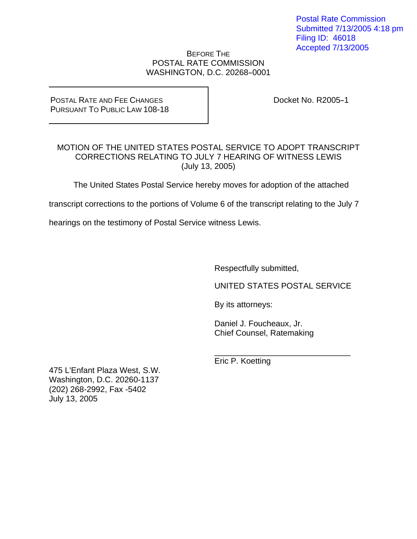Postal Rate Commission Submitted 7/13/2005 4:18 pm Filing ID: 46018 Accepted 7/13/2005

### BEFORE THE POSTAL RATE COMMISSION WASHINGTON, D.C. 20268-0001

#### POSTAL RATE AND FEE CHANGES PURSUANT TO PUBLIC LAW 108-18

Docket No. R2005-1

## MOTION OF THE UNITED STATES POSTAL SERVICE TO ADOPT TRANSCRIPT CORRECTIONS RELATING TO JULY 7 HEARING OF WITNESS LEWIS (July 13, 2005)

The United States Postal Service hereby moves for adoption of the attached

transcript corrections to the portions of Volume 6 of the transcript relating to the July 7

hearings on the testimony of Postal Service witness Lewis.

Respectfully submitted,

UNITED STATES POSTAL SERVICE

By its attorneys:

 Daniel J. Foucheaux, Jr. Chief Counsel, Ratemaking

 $\frac{1}{\sqrt{2\pi}}$  ,  $\frac{1}{\sqrt{2\pi}}$  ,  $\frac{1}{\sqrt{2\pi}}$  ,  $\frac{1}{\sqrt{2\pi}}$  ,  $\frac{1}{\sqrt{2\pi}}$  ,  $\frac{1}{\sqrt{2\pi}}$  ,  $\frac{1}{\sqrt{2\pi}}$  ,  $\frac{1}{\sqrt{2\pi}}$  ,  $\frac{1}{\sqrt{2\pi}}$  ,  $\frac{1}{\sqrt{2\pi}}$  ,  $\frac{1}{\sqrt{2\pi}}$  ,  $\frac{1}{\sqrt{2\pi}}$  ,  $\frac{1}{\sqrt{2\pi}}$  , Eric P. Koetting

475 L'Enfant Plaza West, S.W. Washington, D.C. 20260-1137 (202) 268-2992, Fax -5402 July 13, 2005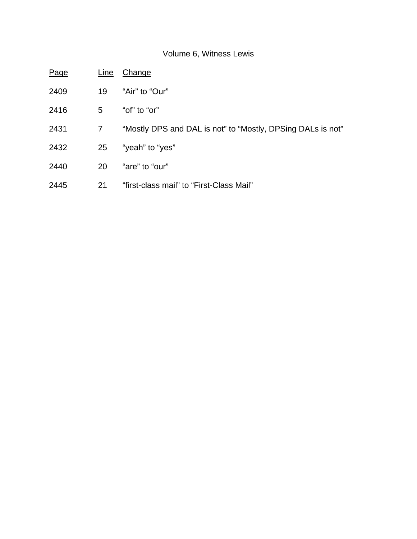# Volume 6, Witness Lewis

| Page | Line | Change                                                      |
|------|------|-------------------------------------------------------------|
| 2409 | 19   | "Air" to "Our"                                              |
| 2416 | 5    | "of" to "or"                                                |
| 2431 | 7    | "Mostly DPS and DAL is not" to "Mostly, DPSing DALs is not" |
| 2432 | 25   | "yeah" to "yes"                                             |
| 2440 | 20   | "are" to "our"                                              |
| 2445 | 21   | "first-class mail" to "First-Class Mail"                    |